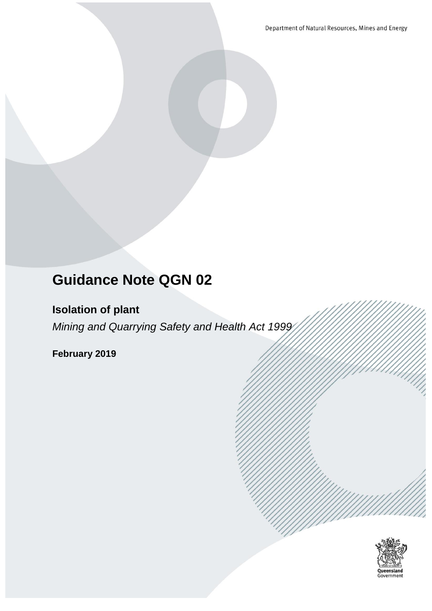Department of Natural Resources, Mines and Energy

# **Guidance Note QGN 02**

**Isolation of plant**

*Mining and Quarrying Safety and Health Act 1999*

**February 2019**

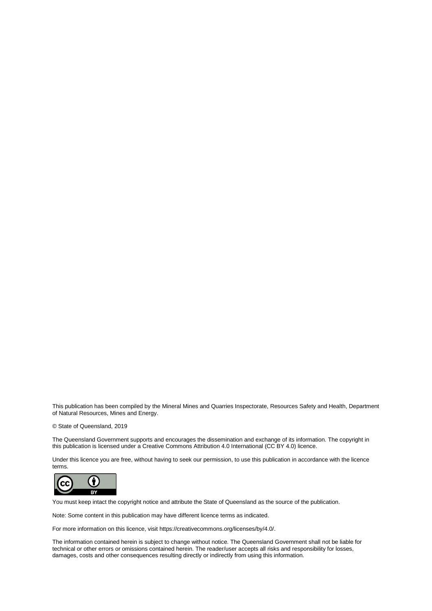This publication has been compiled by the Mineral Mines and Quarries Inspectorate, Resources Safety and Health, Department of Natural Resources, Mines and Energy.

© State of Queensland, 2019

The Queensland Government supports and encourages the dissemination and exchange of its information. The copyright in this publication is licensed under a Creative Commons Attribution 4.0 International (CC BY 4.0) licence.

Under this licence you are free, without having to seek our permission, to use this publication in accordance with the licence terms.



You must keep intact the copyright notice and attribute the State of Queensland as the source of the publication.

Note: Some content in this publication may have different licence terms as indicated.

For more information on this licence, visit https://creativecommons.org/licenses/by/4.0/.

The information contained herein is subject to change without notice. The Queensland Government shall not be liable for technical or other errors or omissions contained herein. The reader/user accepts all risks and responsibility for losses, damages, costs and other consequences resulting directly or indirectly from using this information.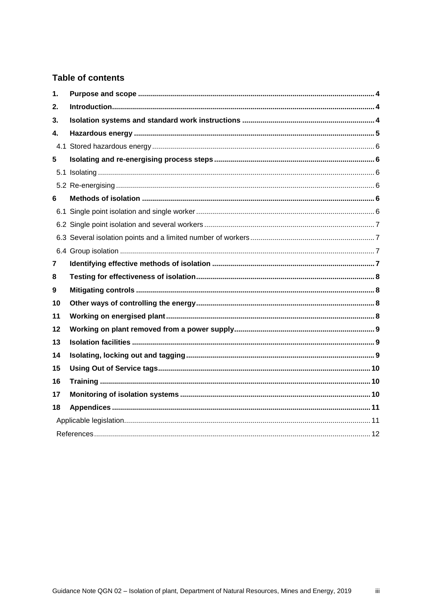#### **Table of contents**

| 1. |  |
|----|--|
| 2. |  |
| 3. |  |
| 4. |  |
|    |  |
| 5  |  |
|    |  |
|    |  |
| 6  |  |
|    |  |
|    |  |
|    |  |
|    |  |
| 7  |  |
| 8  |  |
| 9  |  |
| 10 |  |
| 11 |  |
| 12 |  |
| 13 |  |
| 14 |  |
| 15 |  |
| 16 |  |
| 17 |  |
| 18 |  |
|    |  |
|    |  |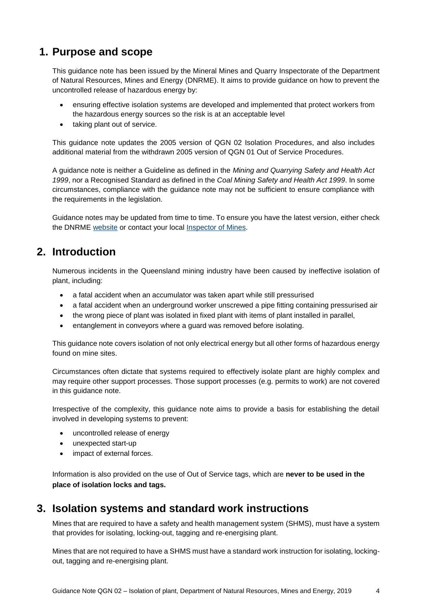# <span id="page-3-0"></span>**1. Purpose and scope**

This guidance note has been issued by the Mineral Mines and Quarry Inspectorate of the Department of Natural Resources, Mines and Energy (DNRME). It aims to provide guidance on how to prevent the uncontrolled release of hazardous energy by:

- ensuring effective isolation systems are developed and implemented that protect workers from the hazardous energy sources so the risk is at an acceptable level
- taking plant out of service.

This guidance note updates the 2005 version of QGN 02 Isolation Procedures, and also includes additional material from the withdrawn 2005 version of QGN 01 Out of Service Procedures.

A guidance note is neither a Guideline as defined in the *Mining and Quarrying Safety and Health Act 1999*, nor a Recognised Standard as defined in the *Coal Mining Safety and Health Act 1999*. In some circumstances, compliance with the guidance note may not be sufficient to ensure compliance with the requirements in the legislation.

Guidance notes may be updated from time to time. To ensure you have the latest version, either check the DNRME [website](https://www.business.qld.gov.au/industries/mining-energy-water/resources/safety-health/mining/legislation-standards/recognised-standards) or contact your local [Inspector of Mines.](https://www.dnrm.qld.gov.au/our-department/contact-us/mines-inspectorate-contacts)

### <span id="page-3-1"></span>**2. Introduction**

Numerous incidents in the Queensland mining industry have been caused by ineffective isolation of plant, including:

- a fatal accident when an accumulator was taken apart while still pressurised
- a fatal accident when an underground worker unscrewed a pipe fitting containing pressurised air
- the wrong piece of plant was isolated in fixed plant with items of plant installed in parallel,
- entanglement in conveyors where a guard was removed before isolating.

This guidance note covers isolation of not only electrical energy but all other forms of hazardous energy found on mine sites.

Circumstances often dictate that systems required to effectively isolate plant are highly complex and may require other support processes. Those support processes (e.g. permits to work) are not covered in this guidance note.

Irrespective of the complexity, this guidance note aims to provide a basis for establishing the detail involved in developing systems to prevent:

- uncontrolled release of energy
- unexpected start-up
- impact of external forces.

Information is also provided on the use of Out of Service tags, which are **never to be used in the place of isolation locks and tags.**

#### <span id="page-3-2"></span>**3. Isolation systems and standard work instructions**

Mines that are required to have a safety and health management system (SHMS), must have a system that provides for isolating, locking-out, tagging and re-energising plant.

Mines that are not required to have a SHMS must have a standard work instruction for isolating, lockingout, tagging and re-energising plant.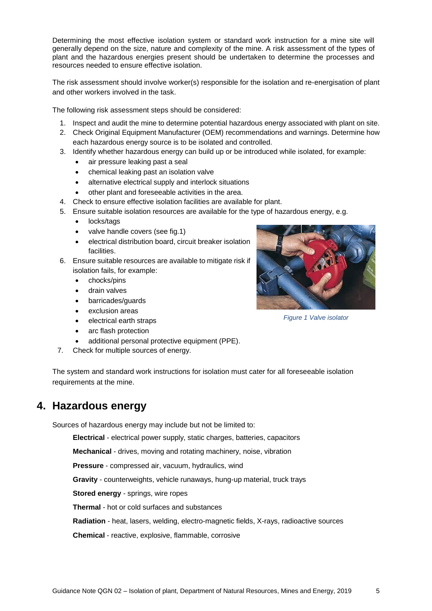Determining the most effective isolation system or standard work instruction for a mine site will generally depend on the size, nature and complexity of the mine. A risk assessment of the types of plant and the hazardous energies present should be undertaken to determine the processes and resources needed to ensure effective isolation.

The risk assessment should involve worker(s) responsible for the isolation and re-energisation of plant and other workers involved in the task.

The following risk assessment steps should be considered:

- 1. Inspect and audit the mine to determine potential hazardous energy associated with plant on site.
- 2. Check Original Equipment Manufacturer (OEM) recommendations and warnings. Determine how each hazardous energy source is to be isolated and controlled.
- 3. Identify whether hazardous energy can build up or be introduced while isolated, for example:
	- air pressure leaking past a seal
	- chemical leaking past an isolation valve
	- alternative electrical supply and interlock situations
	- other plant and foreseeable activities in the area.
- 4. Check to ensure effective isolation facilities are available for plant.
- 5. Ensure suitable isolation resources are available for the type of hazardous energy, e.g.
	- locks/tags
	- valve handle covers (see fig.1)
	- electrical distribution board, circuit breaker isolation facilities.
- 6. Ensure suitable resources are available to mitigate risk if isolation fails, for example:
	- chocks/pins
	- drain valves
	- barricades/guards
	- exclusion areas
	- electrical earth straps
	- arc flash protection
	- additional personal protective equipment (PPE).
- 7. Check for multiple sources of energy.

The system and standard work instructions for isolation must cater for all foreseeable isolation requirements at the mine.

### <span id="page-4-0"></span>**4. Hazardous energy**

Sources of hazardous energy may include but not be limited to:

**Electrical** - electrical power supply, static charges, batteries, capacitors

**Mechanical** - drives, moving and rotating machinery, noise, vibration

**Pressure** - compressed air, vacuum, hydraulics, wind

**Gravity** - counterweights, vehicle runaways, hung-up material, truck trays

**Stored energy** - springs, wire ropes

**Thermal** - hot or cold surfaces and substances

**Radiation** - heat, lasers, welding, electro-magnetic fields, X-rays, radioactive sources

**Chemical** - reactive, explosive, flammable, corrosive

*Figure 1 Valve isolator*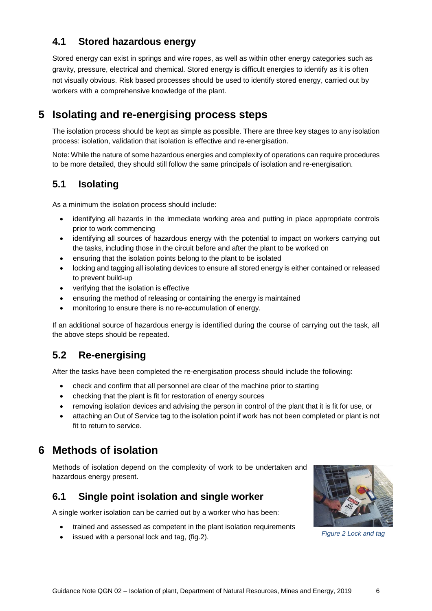### <span id="page-5-0"></span>**4.1 Stored hazardous energy**

Stored energy can exist in springs and wire ropes, as well as within other energy categories such as gravity, pressure, electrical and chemical. Stored energy is difficult energies to identify as it is often not visually obvious. Risk based processes should be used to identify stored energy, carried out by workers with a comprehensive knowledge of the plant.

# <span id="page-5-1"></span>**5 Isolating and re-energising process steps**

The isolation process should be kept as simple as possible. There are three key stages to any isolation process: isolation, validation that isolation is effective and re-energisation.

Note: While the nature of some hazardous energies and complexity of operations can require procedures to be more detailed, they should still follow the same principals of isolation and re-energisation.

#### <span id="page-5-2"></span>**5.1 Isolating**

As a minimum the isolation process should include:

- identifying all hazards in the immediate working area and putting in place appropriate controls prior to work commencing
- identifying all sources of hazardous energy with the potential to impact on workers carrying out the tasks, including those in the circuit before and after the plant to be worked on
- ensuring that the isolation points belong to the plant to be isolated
- locking and tagging all isolating devices to ensure all stored energy is either contained or released to prevent build-up
- verifying that the isolation is effective
- ensuring the method of releasing or containing the energy is maintained
- monitoring to ensure there is no re-accumulation of energy.

If an additional source of hazardous energy is identified during the course of carrying out the task, all the above steps should be repeated.

#### <span id="page-5-3"></span>**5.2 Re-energising**

After the tasks have been completed the re-energisation process should include the following:

- check and confirm that all personnel are clear of the machine prior to starting
- checking that the plant is fit for restoration of energy sources
- removing isolation devices and advising the person in control of the plant that it is fit for use, or
- attaching an Out of Service tag to the isolation point if work has not been completed or plant is not fit to return to service.

### <span id="page-5-4"></span>**6 Methods of isolation**

Methods of isolation depend on the complexity of work to be undertaken and hazardous energy present.

#### <span id="page-5-5"></span>**6.1 Single point isolation and single worker**

A single worker isolation can be carried out by a worker who has been:

- trained and assessed as competent in the plant isolation requirements
- issued with a personal lock and tag, (fig.2).



*Figure 2 Lock and tag*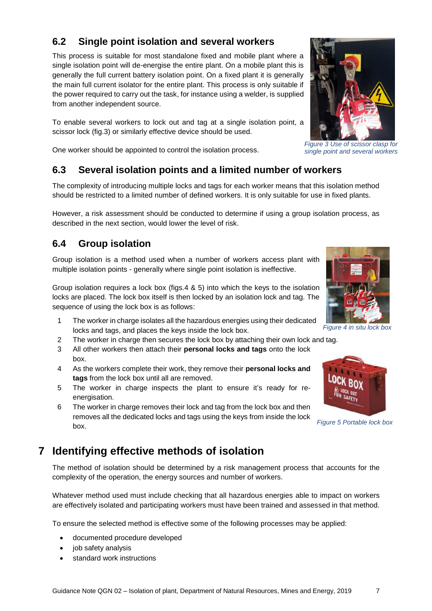### <span id="page-6-0"></span>**6.2 Single point isolation and several workers**

This process is suitable for most standalone fixed and mobile plant where a single isolation point will de-energise the entire plant. On a mobile plant this is generally the full current battery isolation point. On a fixed plant it is generally the main full current isolator for the entire plant. This process is only suitable if the power required to carry out the task, for instance using a welder, is supplied from another independent source.

To enable several workers to lock out and tag at a single isolation point, a scissor lock (fig.3) or similarly effective device should be used.

One worker should be appointed to control the isolation process.

#### <span id="page-6-1"></span>**6.3 Several isolation points and a limited number of workers**

The complexity of introducing multiple locks and tags for each worker means that this isolation method should be restricted to a limited number of defined workers. It is only suitable for use in fixed plants.

However, a risk assessment should be conducted to determine if using a group isolation process, as described in the next section, would lower the level of risk.

### <span id="page-6-2"></span>**6.4 Group isolation**

Group isolation is a method used when a number of workers access plant with multiple isolation points - generally where single point isolation is ineffective.

Group isolation requires a lock box (figs.4 & 5) into which the keys to the isolation locks are placed. The lock box itself is then locked by an isolation lock and tag. The sequence of using the lock box is as follows:

- 1 The worker in charge isolates all the hazardous energies using their dedicated locks and tags, and places the keys inside the lock box.
- 2 The worker in charge then secures the lock box by attaching their own lock and tag.
- 3 All other workers then attach their **personal locks and tags** onto the lock box.
- 4 As the workers complete their work, they remove their **personal locks and tags** from the lock box until all are removed.
- 5 The worker in charge inspects the plant to ensure it's ready for reenergisation.
- 6 The worker in charge removes their lock and tag from the lock box and then removes all the dedicated locks and tags using the keys from inside the lock box.

# <span id="page-6-3"></span>**7 Identifying effective methods of isolation**

The method of isolation should be determined by a risk management process that accounts for the complexity of the operation, the energy sources and number of workers.

Whatever method used must include checking that all hazardous energies able to impact on workers are effectively isolated and participating workers must have been trained and assessed in that method.

To ensure the selected method is effective some of the following processes may be applied:

- documented procedure developed
- job safety analysis
- standard work instructions

*Figure 3 Use of scissor clasp for single point and several workers*





*Figure 5 Portable lock box*



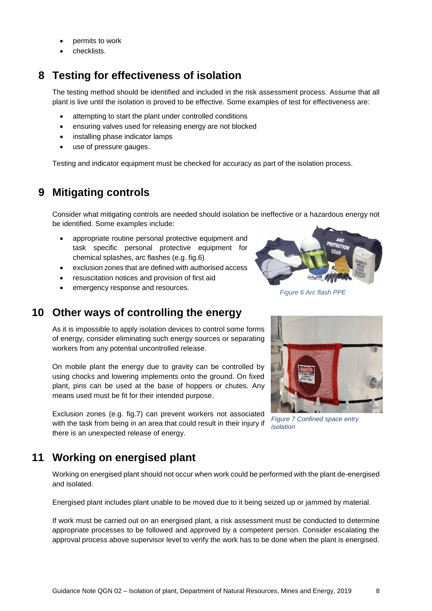- permits to work
- checklists.

# <span id="page-7-0"></span>**8 Testing for effectiveness of isolation**

The testing method should be identified and included in the risk assessment process. Assume that all plant is live until the isolation is proved to be effective. Some examples of test for effectiveness are:

- attempting to start the plant under controlled conditions
- ensuring valves used for releasing energy are not blocked
- installing phase indicator lamps
- use of pressure gauges.

<span id="page-7-1"></span>Testing and indicator equipment must be checked for accuracy as part of the isolation process.

# **9 Mitigating controls**

Consider what mitigating controls are needed should isolation be ineffective or a hazardous energy not be identified. Some examples include:

- appropriate routine personal protective equipment and task specific personal protective equipment for chemical splashes, arc flashes (e.g. fig.6)
- exclusion zones that are defined with authorised access
- resuscitation notices and provision of first aid
- <span id="page-7-2"></span>**•** emergency response and resources.

### **10 Other ways of controlling the energy**

As it is impossible to apply isolation devices to control some forms of energy, consider eliminating such energy sources or separating workers from any potential uncontrolled release.

On mobile plant the energy due to gravity can be controlled by using chocks and lowering implements onto the ground. On fixed plant, pins can be used at the base of hoppers or chutes. Any means used must be fit for their intended purpose.

Exclusion zones (e.g. fig.7) can prevent workers not associated with the task from being in an area that could result in their injury if there is an unexpected release of energy.

# <span id="page-7-3"></span>**11 Working on energised plant**

Working on energised plant should not occur when work could be performed with the plant de-energised and isolated.

Energised plant includes plant unable to be moved due to it being seized up or jammed by material.

If work must be carried out on an energised plant, a risk assessment must be conducted to determine appropriate processes to be followed and approved by a competent person. Consider escalating the approval process above supervisor level to verify the work has to be done when the plant is energised.

*Figure 6 Arc flash PPE*



*Figure 7 Confined space entry isolation*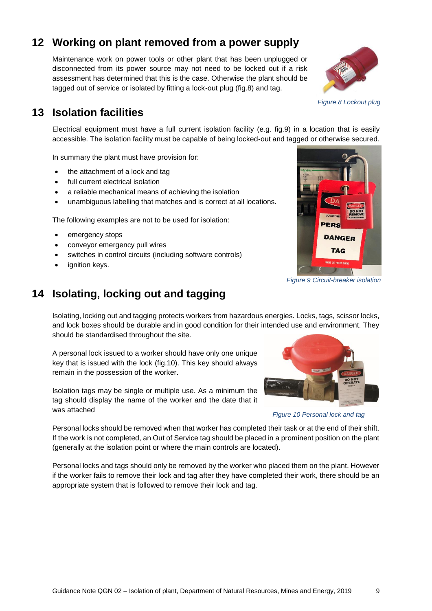# **12 Working on plant removed from a power supply**

<span id="page-8-0"></span>Maintenance work on power tools or other plant that has been unplugged or disconnected from its power source may not need to be locked out if a risk assessment has determined that this is the case. Otherwise the plant should be tagged out of service or isolated by fitting a lock-out plug (fig.8) and tag.

# <span id="page-8-1"></span>**13 Isolation facilities**

Electrical equipment must have a full current isolation facility (e.g. fig.9) in a location that is easily accessible. The isolation facility must be capable of being locked-out and tagged or otherwise secured.

In summary the plant must have provision for:

- the attachment of a lock and tag
- full current electrical isolation
- a reliable mechanical means of achieving the isolation
- unambiguous labelling that matches and is correct at all locations.

The following examples are not to be used for isolation:

- emergency stops
- conveyor emergency pull wires
- switches in control circuits (including software controls)
- <span id="page-8-2"></span>ignition keys.

*Figure 9 Circuit-breaker isolation*

# **14 Isolating, locking out and tagging**

Isolating, locking out and tagging protects workers from hazardous energies. Locks, tags, scissor locks, and lock boxes should be durable and in good condition for their intended use and environment. They should be standardised throughout the site.

A personal lock issued to a worker should have only one unique key that is issued with the lock (fig.10). This key should always remain in the possession of the worker.

Isolation tags may be single or multiple use. As a minimum the tag should display the name of the worker and the date that it was attached

Personal locks should be removed when that worker has completed their task or at the end of their shift. If the work is not completed, an Out of Service tag should be placed in a prominent position on the plant (generally at the isolation point or where the main controls are located).

Personal locks and tags should only be removed by the worker who placed them on the plant. However if the worker fails to remove their lock and tag after they have completed their work, there should be an appropriate system that is followed to remove their lock and tag.



*Figure 10 Personal lock and tag*



TAG

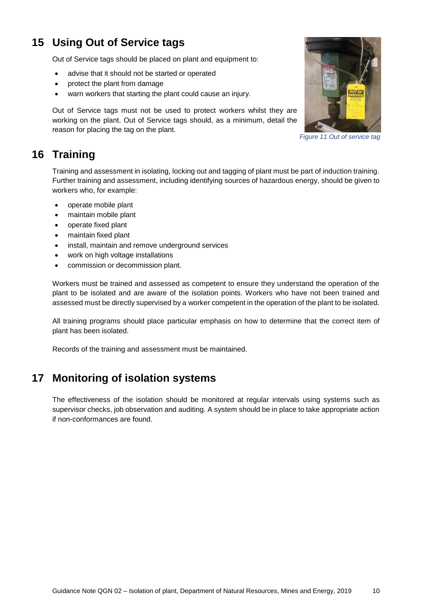# <span id="page-9-0"></span>**15 Using Out of Service tags**

Out of Service tags should be placed on plant and equipment to:

- advise that it should not be started or operated
- protect the plant from damage
- warn workers that starting the plant could cause an injury.

Out of Service tags must not be used to protect workers whilst they are working on the plant. Out of Service tags should, as a minimum, detail the reason for placing the tag on the plant.



*Figure 11 Out of service tag*

# <span id="page-9-1"></span>**16 Training**

Training and assessment in isolating, locking out and tagging of plant must be part of induction training. Further training and assessment, including identifying sources of hazardous energy, should be given to workers who, for example:

- operate mobile plant
- maintain mobile plant
- operate fixed plant
- maintain fixed plant
- install, maintain and remove underground services
- work on high voltage installations
- commission or decommission plant.

Workers must be trained and assessed as competent to ensure they understand the operation of the plant to be isolated and are aware of the isolation points. Workers who have not been trained and assessed must be directly supervised by a worker competent in the operation of the plant to be isolated.

All training programs should place particular emphasis on how to determine that the correct item of plant has been isolated.

<span id="page-9-2"></span>Records of the training and assessment must be maintained.

# **17 Monitoring of isolation systems**

The effectiveness of the isolation should be monitored at regular intervals using systems such as supervisor checks, job observation and auditing. A system should be in place to take appropriate action if non-conformances are found.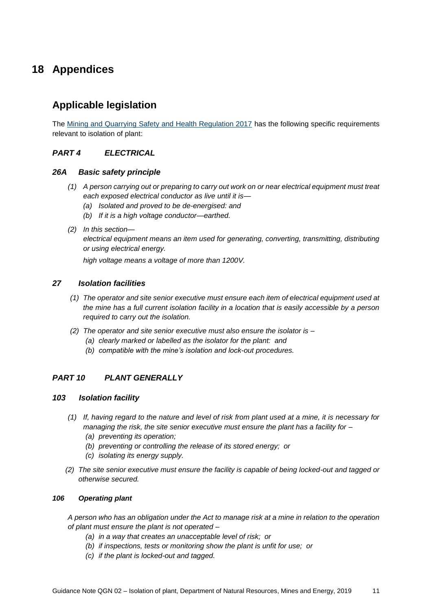# <span id="page-10-0"></span>**18 Appendices**

# <span id="page-10-1"></span>**Applicable legislation**

The [Mining and Quarrying Safety and Health Regulation 2017](https://www.legislation.qld.gov.au/view/html/inforce/current/sl-2017-0166) has the following specific requirements relevant to isolation of plant:

#### *PART 4 ELECTRICAL*

#### *26A Basic safety principle*

- *(1) A person carrying out or preparing to carry out work on or near electrical equipment must treat each exposed electrical conductor as live until it is—*
	- *(a) Isolated and proved to be de-energised: and*
	- *(b) If it is a high voltage conductor—earthed.*
- *(2) In this section—*

*electrical equipment means an item used for generating, converting, transmitting, distributing or using electrical energy.*

*high voltage means a voltage of more than 1200V.*

#### *27 Isolation facilities*

- *(1) The operator and site senior executive must ensure each item of electrical equipment used at the mine has a full current isolation facility in a location that is easily accessible by a person required to carry out the isolation.*
- *(2) The operator and site senior executive must also ensure the isolator is –*
	- *(a) clearly marked or labelled as the isolator for the plant: and*
	- *(b) compatible with the mine's isolation and lock-out procedures.*

#### *PART 10 PLANT GENERALLY*

#### *103 Isolation facility*

- *(1) If, having regard to the nature and level of risk from plant used at a mine, it is necessary for managing the risk, the site senior executive must ensure the plant has a facility for –*
	- *(a) preventing its operation;*
	- *(b) preventing or controlling the release of its stored energy; or*
	- *(c) isolating its energy supply.*
- *(2) The site senior executive must ensure the facility is capable of being locked-out and tagged or otherwise secured.*

#### *106 Operating plant*

*A person who has an obligation under the Act to manage risk at a mine in relation to the operation of plant must ensure the plant is not operated –*

- *(a) in a way that creates an unacceptable level of risk; or*
- *(b) if inspections, tests or monitoring show the plant is unfit for use; or*
- *(c) if the plant is locked-out and tagged.*